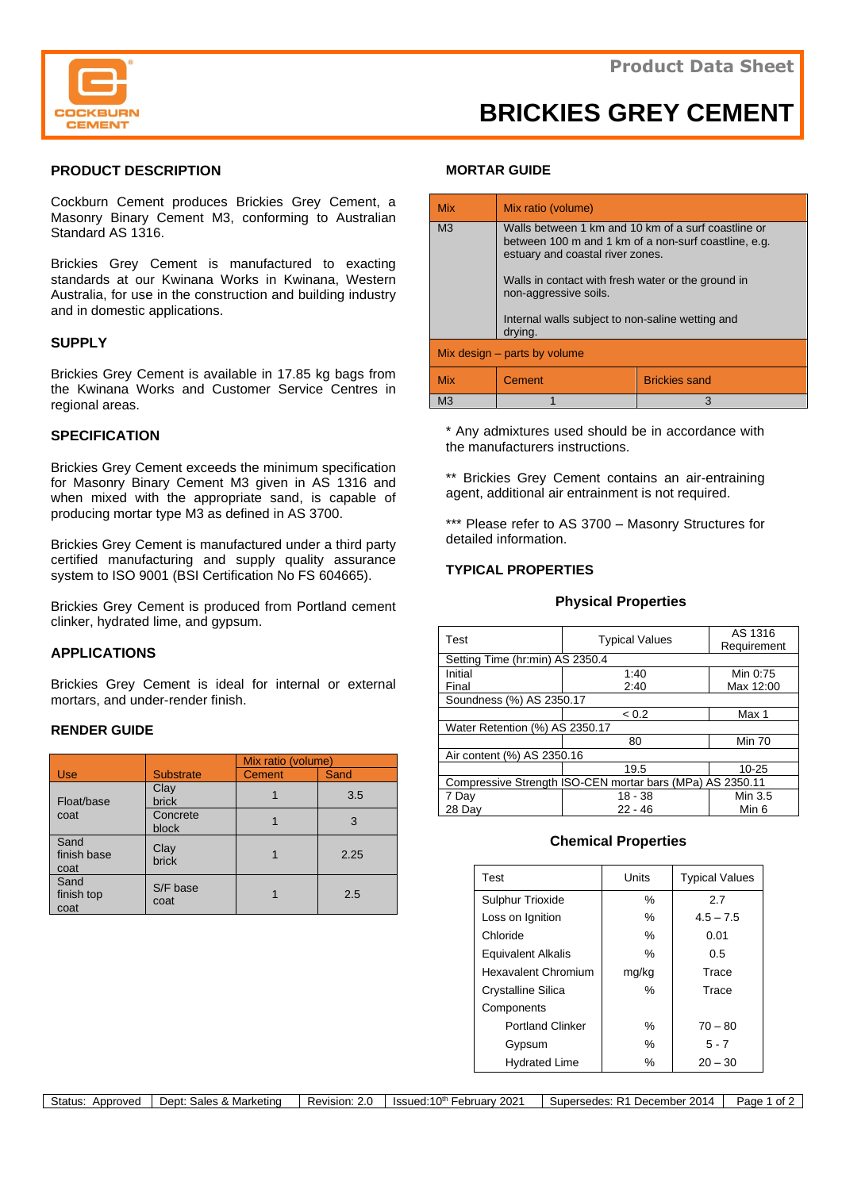

# **BRICKIES GREY CEMENT**

## **PRODUCT DESCRIPTION**

Cockburn Cement produces Brickies Grey Cement, a Masonry Binary Cement M3, conforming to Australian Standard AS 1316.

Brickies Grey Cement is manufactured to exacting standards at our Kwinana Works in Kwinana, Western Australia, for use in the construction and building industry and in domestic applications.

## **SUPPLY**

Brickies Grey Cement is available in 17.85 kg bags from the Kwinana Works and Customer Service Centres in regional areas.

## **SPECIFICATION**

Brickies Grey Cement exceeds the minimum specification for Masonry Binary Cement M3 given in AS 1316 and when mixed with the appropriate sand, is capable of producing mortar type M3 as defined in AS 3700.

Brickies Grey Cement is manufactured under a third party certified manufacturing and supply quality assurance system to ISO 9001 (BSI Certification No FS 604665).

Brickies Grey Cement is produced from Portland cement clinker, hydrated lime, and gypsum.

## **APPLICATIONS**

Brickies Grey Cement is ideal for internal or external mortars, and under-render finish.

## **RENDER GUIDE**

|                             |                      | Mix ratio (volume) |      |
|-----------------------------|----------------------|--------------------|------|
| Use                         | <b>Substrate</b>     | Cement             | Sand |
| Float/base<br>coat          | Clay<br><b>brick</b> |                    | 3.5  |
|                             | Concrete<br>block    |                    | 3    |
| Sand<br>finish base<br>coat | Clay<br><b>brick</b> |                    | 2.25 |
| Sand<br>finish top<br>coat  | S/F base<br>coat     |                    | 2.5  |

#### **MORTAR GUIDE**

| <b>Mix</b>                   | Mix ratio (volume)                                                                                                                                                                                                             |                      |  |  |
|------------------------------|--------------------------------------------------------------------------------------------------------------------------------------------------------------------------------------------------------------------------------|----------------------|--|--|
| M <sub>3</sub>               | Walls between 1 km and 10 km of a surf coastline or<br>between 100 m and 1 km of a non-surf coastline, e.g.<br>estuary and coastal river zones.<br>Walls in contact with fresh water or the ground in<br>non-aggressive soils. |                      |  |  |
|                              | Internal walls subject to non-saline wetting and<br>drying.                                                                                                                                                                    |                      |  |  |
| Mix design – parts by volume |                                                                                                                                                                                                                                |                      |  |  |
| <b>Mix</b>                   | Cement                                                                                                                                                                                                                         | <b>Brickies sand</b> |  |  |
| M <sub>3</sub>               |                                                                                                                                                                                                                                | 3                    |  |  |

\* Any admixtures used should be in accordance with the manufacturers instructions.

\*\* Brickies Grey Cement contains an air-entraining agent, additional air entrainment is not required.

\*\*\* Please refer to AS 3700 - Masonry Structures for detailed information.

## **TYPICAL PROPERTIES**

#### **Physical Properties**

| <b>Test</b>                                               | <b>Typical Values</b> | AS 1316<br>Requirement |  |  |
|-----------------------------------------------------------|-----------------------|------------------------|--|--|
| Setting Time (hr:min) AS 2350.4                           |                       |                        |  |  |
| Initial                                                   | 1:40                  | Min 0:75               |  |  |
| Final                                                     | 2:40                  | Max 12:00              |  |  |
| Soundness (%) AS 2350.17                                  |                       |                        |  |  |
|                                                           | < 0.2                 | Max 1                  |  |  |
| Water Retention (%) AS 2350.17                            |                       |                        |  |  |
|                                                           | 80                    | <b>Min 70</b>          |  |  |
| Air content (%) AS 2350.16                                |                       |                        |  |  |
|                                                           | 19.5                  | $10 - 25$              |  |  |
| Compressive Strength ISO-CEN mortar bars (MPa) AS 2350.11 |                       |                        |  |  |
| 7 Day                                                     | $18 - 38$             | Min 3.5                |  |  |
| 28 Dav                                                    | $22 - 46$             | Min 6                  |  |  |

## **Chemical Properties**

| Test                      | Units | <b>Typical Values</b> |
|---------------------------|-------|-----------------------|
| <b>Sulphur Trioxide</b>   | $\%$  | 2.7                   |
| Loss on Ignition          | ℅     | $4.5 - 7.5$           |
| Chloride                  | $\%$  | 0.01                  |
| <b>Equivalent Alkalis</b> | ℅     | 0.5                   |
| Hexavalent Chromium       | mg/kg | Trace                 |
| <b>Crystalline Silica</b> | $\%$  | Trace                 |
| Components                |       |                       |
| <b>Portland Clinker</b>   | ℅     | $70 - 80$             |
| Gypsum                    | $\%$  | $5 - 7$               |
| <b>Hydrated Lime</b>      | $\%$  | $20 - 30$             |